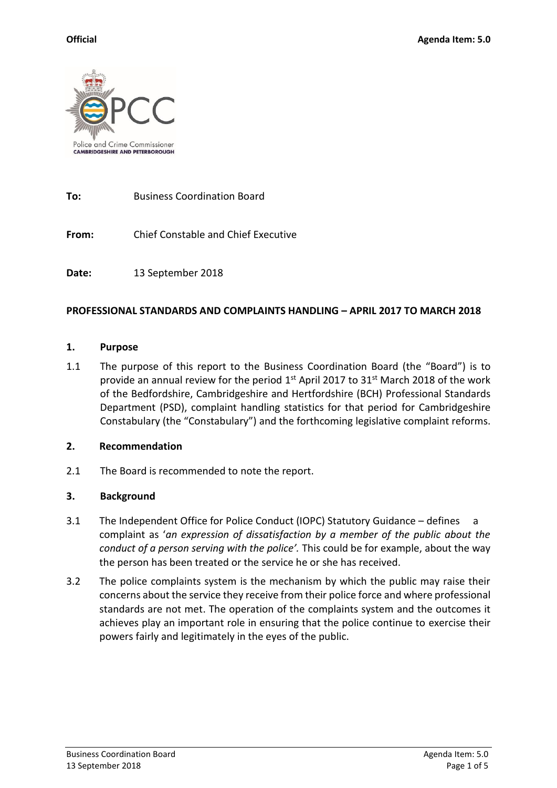

**To:** Business Coordination Board

**From:** Chief Constable and Chief Executive

**Date:** 13 September 2018

## **PROFESSIONAL STANDARDS AND COMPLAINTS HANDLING – APRIL 2017 TO MARCH 2018**

#### **1. Purpose**

1.1 The purpose of this report to the Business Coordination Board (the "Board") is to provide an annual review for the period  $1<sup>st</sup>$  April 2017 to 31 $<sup>st</sup>$  March 2018 of the work</sup> of the Bedfordshire, Cambridgeshire and Hertfordshire (BCH) Professional Standards Department (PSD), complaint handling statistics for that period for Cambridgeshire Constabulary (the "Constabulary") and the forthcoming legislative complaint reforms.

#### **2. Recommendation**

2.1 The Board is recommended to note the report.

## **3. Background**

- 3.1 The Independent Office for Police Conduct (IOPC) Statutory Guidance defines a complaint as '*an expression of dissatisfaction by a member of the public about the conduct of a person serving with the police'.* This could be for example, about the way the person has been treated or the service he or she has received.
- 3.2 The police complaints system is the mechanism by which the public may raise their concerns about the service they receive from their police force and where professional standards are not met. The operation of the complaints system and the outcomes it achieves play an important role in ensuring that the police continue to exercise their powers fairly and legitimately in the eyes of the public.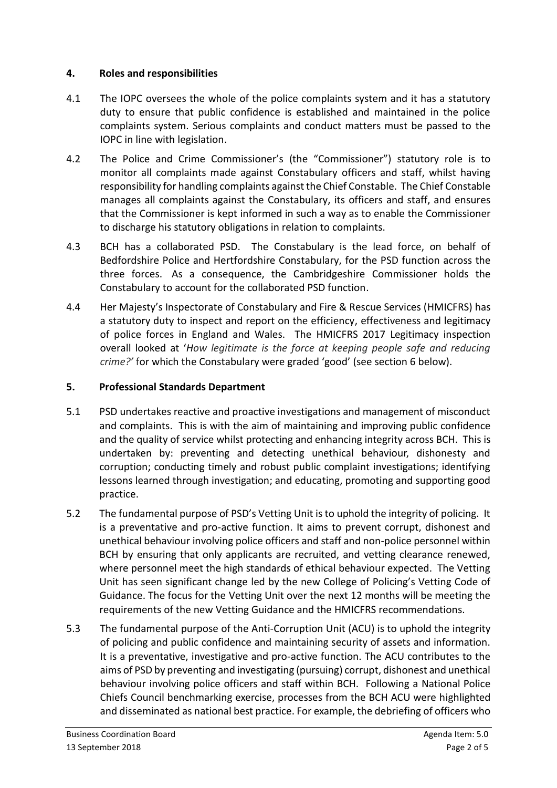## **4. Roles and responsibilities**

- 4.1 The IOPC oversees the whole of the police complaints system and it has a statutory duty to ensure that public confidence is established and maintained in the police complaints system. Serious complaints and conduct matters must be passed to the IOPC in line with legislation.
- 4.2 The Police and Crime Commissioner's (the "Commissioner") statutory role is to monitor all complaints made against Constabulary officers and staff, whilst having responsibility for handling complaints against the Chief Constable. The Chief Constable manages all complaints against the Constabulary, its officers and staff, and ensures that the Commissioner is kept informed in such a way as to enable the Commissioner to discharge his statutory obligations in relation to complaints.
- 4.3 BCH has a collaborated PSD. The Constabulary is the lead force, on behalf of Bedfordshire Police and Hertfordshire Constabulary, for the PSD function across the three forces. As a consequence, the Cambridgeshire Commissioner holds the Constabulary to account for the collaborated PSD function.
- 4.4 Her Majesty's Inspectorate of Constabulary and Fire & Rescue Services (HMICFRS) has a statutory duty to inspect and report on the efficiency, effectiveness and legitimacy of police forces in England and Wales. The HMICFRS 2017 Legitimacy inspection overall looked at '*How legitimate is the force at keeping people safe and reducing crime?'* for which the Constabulary were graded 'good' (see section 6 below).

## **5. Professional Standards Department**

- 5.1 PSD undertakes reactive and proactive investigations and management of misconduct and complaints. This is with the aim of maintaining and improving public confidence and the quality of service whilst protecting and enhancing integrity across BCH. This is undertaken by: preventing and detecting unethical behaviour, dishonesty and corruption; conducting timely and robust public complaint investigations; identifying lessons learned through investigation; and educating, promoting and supporting good practice.
- 5.2 The fundamental purpose of PSD's Vetting Unit is to uphold the integrity of policing. It is a preventative and pro-active function. It aims to prevent corrupt, dishonest and unethical behaviour involving police officers and staff and non-police personnel within BCH by ensuring that only applicants are recruited, and vetting clearance renewed, where personnel meet the high standards of ethical behaviour expected. The Vetting Unit has seen significant change led by the new College of Policing's Vetting Code of Guidance. The focus for the Vetting Unit over the next 12 months will be meeting the requirements of the new Vetting Guidance and the HMICFRS recommendations.
- 5.3 The fundamental purpose of the Anti-Corruption Unit (ACU) is to uphold the integrity of policing and public confidence and maintaining security of assets and information. It is a preventative, investigative and pro-active function. The ACU contributes to the aims of PSD by preventing and investigating (pursuing) corrupt, dishonest and unethical behaviour involving police officers and staff within BCH. Following a National Police Chiefs Council benchmarking exercise, processes from the BCH ACU were highlighted and disseminated as national best practice. For example, the debriefing of officers who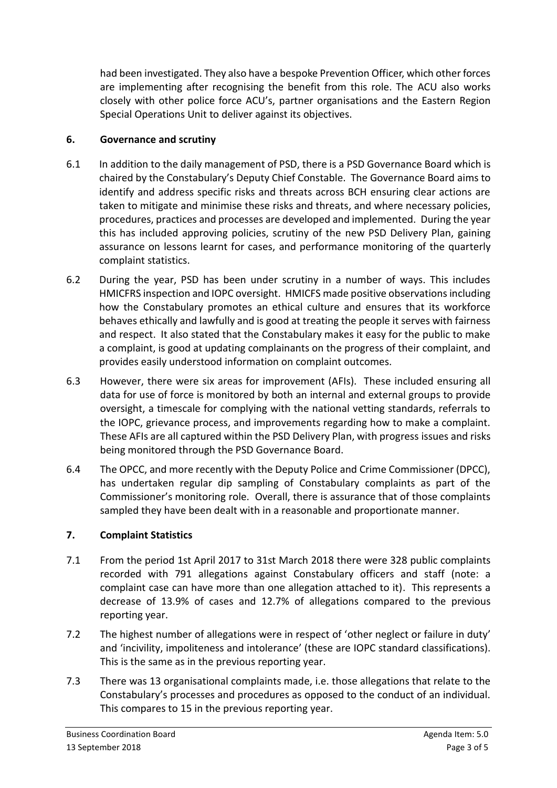had been investigated. They also have a bespoke Prevention Officer, which other forces are implementing after recognising the benefit from this role. The ACU also works closely with other police force ACU's, partner organisations and the Eastern Region Special Operations Unit to deliver against its objectives.

## **6. Governance and scrutiny**

- 6.1 In addition to the daily management of PSD, there is a PSD Governance Board which is chaired by the Constabulary's Deputy Chief Constable. The Governance Board aims to identify and address specific risks and threats across BCH ensuring clear actions are taken to mitigate and minimise these risks and threats, and where necessary policies, procedures, practices and processes are developed and implemented. During the year this has included approving policies, scrutiny of the new PSD Delivery Plan, gaining assurance on lessons learnt for cases, and performance monitoring of the quarterly complaint statistics.
- 6.2 During the year, PSD has been under scrutiny in a number of ways. This includes HMICFRS inspection and IOPC oversight. HMICFS made positive observations including how the Constabulary promotes an ethical culture and ensures that its workforce behaves ethically and lawfully and is good at treating the people it serves with fairness and respect. It also stated that the Constabulary makes it easy for the public to make a complaint, is good at updating complainants on the progress of their complaint, and provides easily understood information on complaint outcomes.
- 6.3 However, there were six areas for improvement (AFIs). These included ensuring all data for use of force is monitored by both an internal and external groups to provide oversight, a timescale for complying with the national vetting standards, referrals to the IOPC, grievance process, and improvements regarding how to make a complaint. These AFIs are all captured within the PSD Delivery Plan, with progress issues and risks being monitored through the PSD Governance Board.
- 6.4 The OPCC, and more recently with the Deputy Police and Crime Commissioner (DPCC), has undertaken regular dip sampling of Constabulary complaints as part of the Commissioner's monitoring role. Overall, there is assurance that of those complaints sampled they have been dealt with in a reasonable and proportionate manner.

# **7. Complaint Statistics**

- 7.1 From the period 1st April 2017 to 31st March 2018 there were 328 public complaints recorded with 791 allegations against Constabulary officers and staff (note: a complaint case can have more than one allegation attached to it). This represents a decrease of 13.9% of cases and 12.7% of allegations compared to the previous reporting year.
- 7.2 The highest number of allegations were in respect of 'other neglect or failure in duty' and 'incivility, impoliteness and intolerance' (these are IOPC standard classifications). This is the same as in the previous reporting year.
- 7.3 There was 13 organisational complaints made, i.e. those allegations that relate to the Constabulary's processes and procedures as opposed to the conduct of an individual. This compares to 15 in the previous reporting year.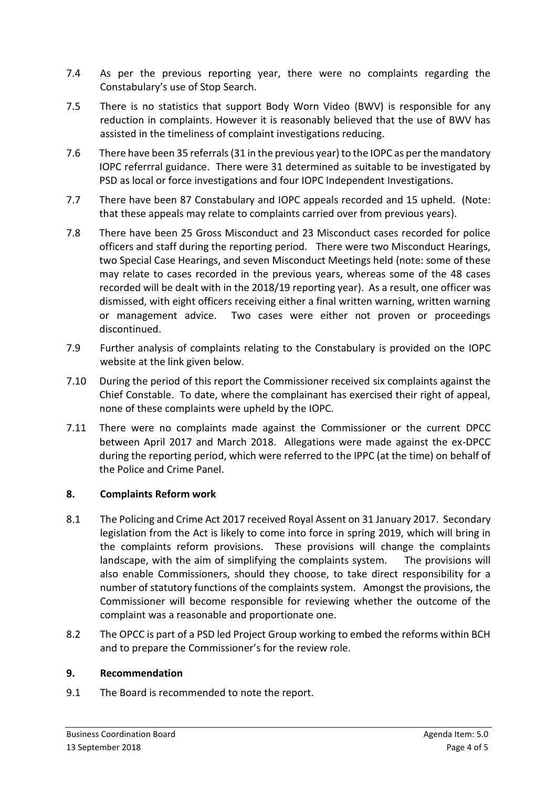- 7.4 As per the previous reporting year, there were no complaints regarding the Constabulary's use of Stop Search.
- 7.5 There is no statistics that support Body Worn Video (BWV) is responsible for any reduction in complaints. However it is reasonably believed that the use of BWV has assisted in the timeliness of complaint investigations reducing.
- 7.6 There have been 35 referrals (31 in the previous year) to the IOPC as per the mandatory IOPC referrral guidance. There were 31 determined as suitable to be investigated by PSD as local or force investigations and four IOPC Independent Investigations.
- 7.7 There have been 87 Constabulary and IOPC appeals recorded and 15 upheld. (Note: that these appeals may relate to complaints carried over from previous years).
- 7.8 There have been 25 Gross Misconduct and 23 Misconduct cases recorded for police officers and staff during the reporting period. There were two Misconduct Hearings, two Special Case Hearings, and seven Misconduct Meetings held (note: some of these may relate to cases recorded in the previous years, whereas some of the 48 cases recorded will be dealt with in the 2018/19 reporting year). As a result, one officer was dismissed, with eight officers receiving either a final written warning, written warning or management advice. Two cases were either not proven or proceedings discontinued.
- 7.9 Further analysis of complaints relating to the Constabulary is provided on the IOPC website at the link given below.
- 7.10 During the period of this report the Commissioner received six complaints against the Chief Constable. To date, where the complainant has exercised their right of appeal, none of these complaints were upheld by the IOPC.
- 7.11 There were no complaints made against the Commissioner or the current DPCC between April 2017 and March 2018. Allegations were made against the ex-DPCC during the reporting period, which were referred to the IPPC (at the time) on behalf of the Police and Crime Panel.

# **8. Complaints Reform work**

- 8.1 The Policing and Crime Act 2017 received Royal Assent on 31 January 2017. Secondary legislation from the Act is likely to come into force in spring 2019, which will bring in the complaints reform provisions. These provisions will change the complaints landscape, with the aim of simplifying the complaints system. The provisions will also enable Commissioners, should they choose, to take direct responsibility for a number of statutory functions of the complaints system. Amongst the provisions, the Commissioner will become responsible for reviewing whether the outcome of the complaint was a reasonable and proportionate one.
- 8.2 The OPCC is part of a PSD led Project Group working to embed the reforms within BCH and to prepare the Commissioner's for the review role.

## **9. Recommendation**

9.1 The Board is recommended to note the report.